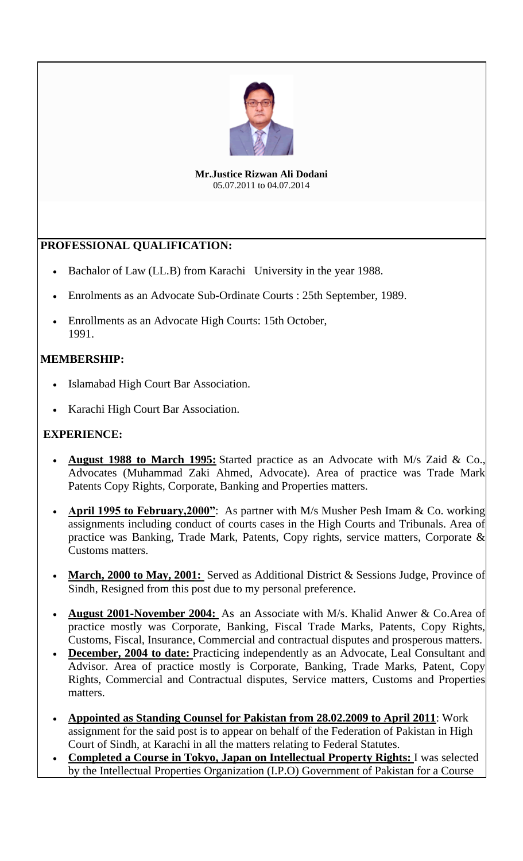

**Mr.Justice Rizwan Ali Dodani** 05.07.2011 to 04.07.2014

## **PROFESSIONAL QUALIFICATION:**

- Bachalor of Law (LL.B) from Karachi University in the year 1988.
- Enrolments as an Advocate Sub-Ordinate Courts : 25th September, 1989.
- Enrollments as an Advocate High Courts: 15th October, 1991.

## **MEMBERSHIP:**

- Islamabad High Court Bar Association.
- Karachi High Court Bar Association.

## **EXPERIENCE:**

- **August 1988 to March 1995:** Started practice as an Advocate with M/s Zaid & Co., Advocates (Muhammad Zaki Ahmed, Advocate). Area of practice was Trade Mark Patents Copy Rights, Corporate, Banking and Properties matters.
- **April 1995 to February,2000"**: As partner with M/s Musher Pesh Imam & Co. working assignments including conduct of courts cases in the High Courts and Tribunals. Area of practice was Banking, Trade Mark, Patents, Copy rights, service matters, Corporate & Customs matters.
- **March, 2000 to May, 2001:** Served as Additional District & Sessions Judge, Province of Sindh, Resigned from this post due to my personal preference.
- **August 2001-November 2004:** Asan Associate with M/s. Khalid Anwer & Co.Area of practice mostly was Corporate, Banking, Fiscal Trade Marks, Patents, Copy Rights, Customs, Fiscal, Insurance, Commercial and contractual disputes and prosperous matters.
- **December, 2004 to date:** Practicing independently as an Advocate, Leal Consultant and Advisor. Area of practice mostly is Corporate, Banking, Trade Marks, Patent, Copy Rights, Commercial and Contractual disputes, Service matters, Customs and Properties matters.
- **Appointed as Standing Counsel for Pakistan from 28.02.2009 to April 2011**: Work assignment for the said post is to appear on behalf of the Federation of Pakistan in High Court of Sindh, at Karachi in all the matters relating to Federal Statutes.
- **Completed a Course in Tokyo, Japan on Intellectual Property Rights:** I was selected by the Intellectual Properties Organization (I.P.O) Government of Pakistan for a Course